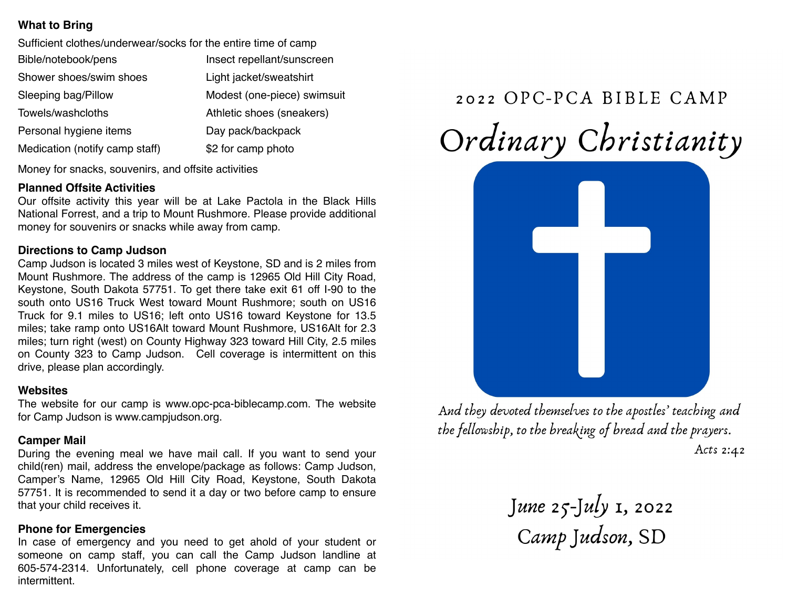# **What to Bring**

| Sufficient clothes/underwear/socks for the entire time of camp |                             |
|----------------------------------------------------------------|-----------------------------|
| Bible/notebook/pens                                            | Insect repellant/sunscreen  |
| Shower shoes/swim shoes                                        | Light jacket/sweatshirt     |
| Sleeping bag/Pillow                                            | Modest (one-piece) swimsuit |
| Towels/washcloths                                              | Athletic shoes (sneakers)   |
| Personal hygiene items                                         | Day pack/backpack           |
| Medication (notify camp staff)                                 | \$2 for camp photo          |
|                                                                |                             |

Money for snacks, souvenirs, and offsite activities

#### **Planned Offsite Activities**

Our offsite activity this year will be at Lake Pactola in the Black Hills National Forrest, and a trip to Mount Rushmore. Please provide additional money for souvenirs or snacks while away from camp.

#### **Directions to Camp Judson**

Camp Judson is located 3 miles west of Keystone, SD and is 2 miles from Mount Rushmore. The address of the camp is 12965 Old Hill City Road, Keystone, South Dakota 57751. To get there take exit 61 off I-90 to the south onto US16 Truck West toward Mount Rushmore; south on US16 Truck for 9.1 miles to US16; left onto US16 toward Keystone for 13.5 miles; take ramp onto US16Alt toward Mount Rushmore, US16Alt for 2.3 miles; turn right (west) on County Highway 323 toward Hill City, 2.5 miles on County 323 to Camp Judson. Cell coverage is intermittent on this drive, please plan accordingly.

#### **Websites**

The website for our camp is www.opc-pca-biblecamp.com. The website for Camp Judson is www.campjudson.org.

#### **Camper Mail**

During the evening meal we have mail call. If you want to send your child(ren) mail, address the envelope/package as follows: Camp Judson, Camper's Name, 12965 Old Hill City Road, Keystone, South Dakota 57751. It is recommended to send it a day or two before camp to ensure that your child receives it.

## **Phone for Emergencies**

In case of emergency and you need to get ahold of your student or someone on camp staff, you can call the Camp Judson landline at 605-574-2314. Unfortunately, cell phone coverage at camp can be intermittent.

# 2022 OPC-PCA BIBLE CAMP

Ordinary Christianity



And they devoted themselves to the apostles' teaching and the fellowship, to the breaking of bread and the prayers. Acts  $2:42$